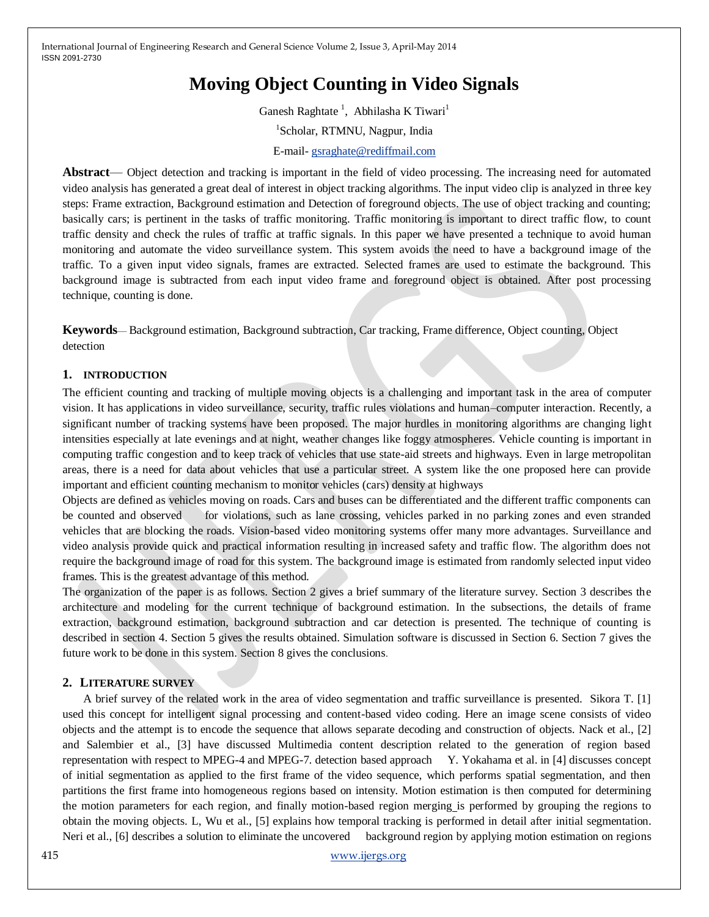# **Moving Object Counting in Video Signals**

Ganesh Raghtate<sup>1</sup>, Abhilasha K Tiwari<sup>1</sup>

1 Scholar, RTMNU, Nagpur, India

E-mail- [gsraghate@rediffmail.com](mailto:gsraghate@rediffmail.com)

**Abstract**— Object detection and tracking is important in the field of video processing. The increasing need for automated video analysis has generated a great deal of interest in object tracking algorithms. The input video clip is analyzed in three key steps: Frame extraction, Background estimation and Detection of foreground objects. The use of object tracking and counting; basically cars; is pertinent in the tasks of traffic monitoring. Traffic monitoring is important to direct traffic flow, to count traffic density and check the rules of traffic at traffic signals. In this paper we have presented a technique to avoid human monitoring and automate the video surveillance system. This system avoids the need to have a background image of the traffic. To a given input video signals, frames are extracted. Selected frames are used to estimate the background. This background image is subtracted from each input video frame and foreground object is obtained. After post processing technique, counting is done.

**Keywords**— Background estimation, Background subtraction, Car tracking, Frame difference, Object counting, Object detection

#### **1. INTRODUCTION**

The efficient counting and tracking of multiple moving objects is a challenging and important task in the area of computer vision. It has applications in video surveillance, security, traffic rules violations and human–computer interaction. Recently, a significant number of tracking systems have been proposed. The major hurdles in monitoring algorithms are changing light intensities especially at late evenings and at night, weather changes like foggy atmospheres. Vehicle counting is important in computing traffic congestion and to keep track of vehicles that use state-aid streets and highways. Even in large metropolitan areas, there is a need for data about vehicles that use a particular street. A system like the one proposed here can provide important and efficient counting mechanism to monitor vehicles (cars) density at highways

Objects are defined as vehicles moving on roads. Cars and buses can be differentiated and the different traffic components can be counted and observed for violations, such as lane crossing, vehicles parked in no parking zones and even stranded vehicles that are blocking the roads. Vision-based video monitoring systems offer many more advantages. Surveillance and video analysis provide quick and practical information resulting in increased safety and traffic flow. The algorithm does not require the background image of road for this system. The background image is estimated from randomly selected input video frames. This is the greatest advantage of this method.

The organization of the paper is as follows. Section 2 gives a brief summary of the literature survey. Section 3 describes the architecture and modeling for the current technique of background estimation. In the subsections, the details of frame extraction, background estimation, background subtraction and car detection is presented. The technique of counting is described in section 4. Section 5 gives the results obtained. Simulation software is discussed in Section 6. Section 7 gives the future work to be done in this system. Section 8 gives the conclusions.

## **2. LITERATURE SURVEY**

A brief survey of the related work in the area of video segmentation and traffic surveillance is presented. Sikora T. [1] used this concept for intelligent signal processing and content-based video coding. Here an image scene consists of video objects and the attempt is to encode the sequence that allows separate decoding and construction of objects. Nack et al., [2] and Salembier et al., [3] have discussed Multimedia content description related to the generation of region based representation with respect to MPEG-4 and MPEG-7. detection based approach Y. Yokahama et al. in [4] discusses concept of initial segmentation as applied to the first frame of the video sequence, which performs spatial segmentation, and then partitions the first frame into homogeneous regions based on intensity. Motion estimation is then computed for determining the motion parameters for each region, and finally motion-based region merging is performed by grouping the regions to obtain the moving objects. L, Wu et al., [5] explains how temporal tracking is performed in detail after initial segmentation. Neri et al., [6] describes a solution to eliminate the uncovered background region by applying motion estimation on regions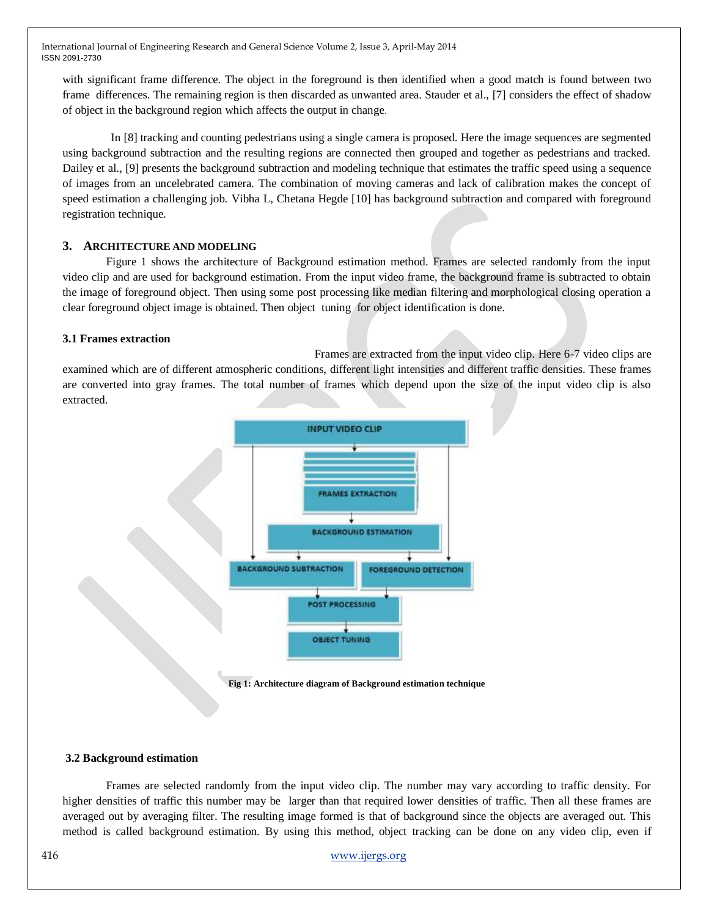with significant frame difference. The object in the foreground is then identified when a good match is found between two frame differences. The remaining region is then discarded as unwanted area. Stauder et al., [7] considers the effect of shadow of object in the background region which affects the output in change.

 In [8] tracking and counting pedestrians using a single camera is proposed. Here the image sequences are segmented using background subtraction and the resulting regions are connected then grouped and together as pedestrians and tracked. Dailey et al., [9] presents the background subtraction and modeling technique that estimates the traffic speed using a sequence of images from an uncelebrated camera. The combination of moving cameras and lack of calibration makes the concept of speed estimation a challenging job. Vibha L, Chetana Hegde [10] has background subtraction and compared with foreground registration technique.

# **3. ARCHITECTURE AND MODELING**

 Figure 1 shows the architecture of Background estimation method. Frames are selected randomly from the input video clip and are used for background estimation. From the input video frame, the background frame is subtracted to obtain the image of foreground object. Then using some post processing like median filtering and morphological closing operation a clear foreground object image is obtained. Then object tuning for object identification is done.

# **3.1 Frames extraction**

Frames are extracted from the input video clip. Here 6-7 video clips are examined which are of different atmospheric conditions, different light intensities and different traffic densities. These frames are converted into gray frames. The total number of frames which depend upon the size of the input video clip is also extracted.



**Fig 1: Architecture diagram of Background estimation technique**

## **3.2 Background estimation**

 Frames are selected randomly from the input video clip. The number may vary according to traffic density. For higher densities of traffic this number may be larger than that required lower densities of traffic. Then all these frames are averaged out by averaging filter. The resulting image formed is that of background since the objects are averaged out. This method is called background estimation. By using this method, object tracking can be done on any video clip, even if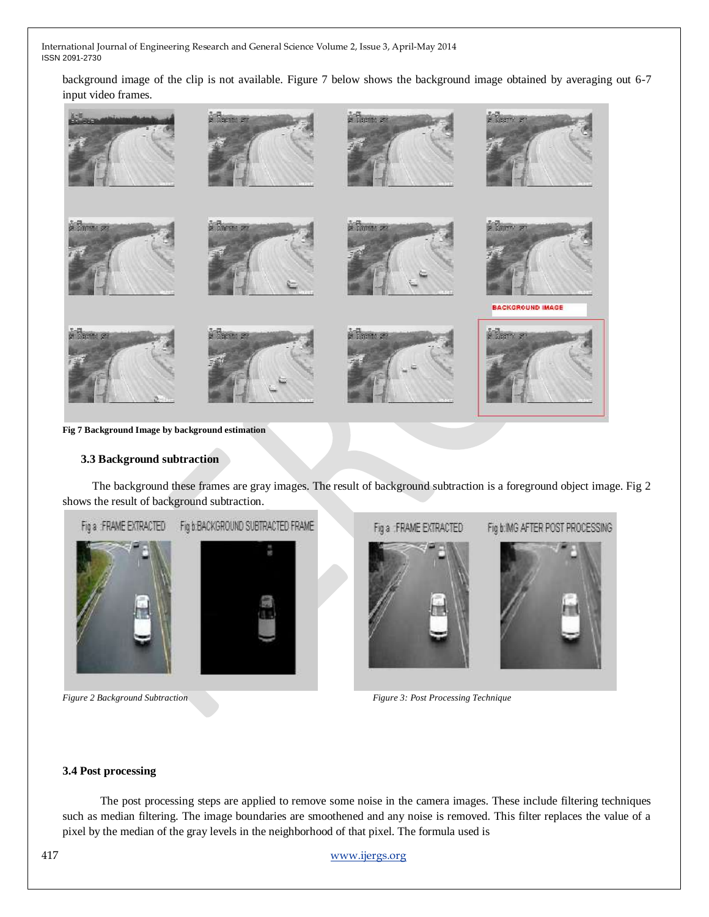background image of the clip is not available. Figure 7 below shows the background image obtained by averaging out 6-7 input video frames.





#### **3.3 Background subtraction**

 The background these frames are gray images. The result of background subtraction is a foreground object image. Fig 2 shows the result of background subtraction.



Fig a :FRAME EXTRACTED





*Figure 2 Background Subtraction* Figure 3: Post Processing Technique

## **3.4 Post processing**

 The post processing steps are applied to remove some noise in the camera images. These include filtering techniques such as median filtering. The image boundaries are smoothened and any noise is removed. This filter replaces the value of a pixel by the median of the gray levels in the neighborhood of that pixel. The formula used is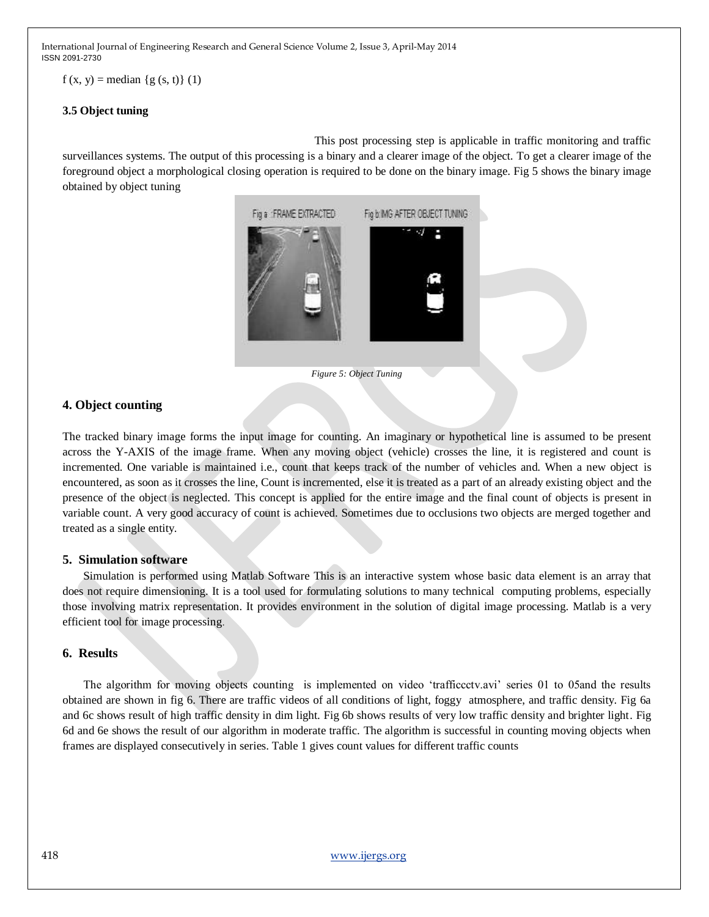f (x, y) = median {g (s, t)} (1)

#### **3.5 Object tuning**

 This post processing step is applicable in traffic monitoring and traffic surveillances systems. The output of this processing is a binary and a clearer image of the object. To get a clearer image of the foreground object a morphological closing operation is required to be done on the binary image. Fig 5 shows the binary image obtained by object tuning



*Figure 5: Object Tuning*

## **4. Object counting**

The tracked binary image forms the input image for counting. An imaginary or hypothetical line is assumed to be present across the Y-AXIS of the image frame. When any moving object (vehicle) crosses the line, it is registered and count is incremented. One variable is maintained i.e., count that keeps track of the number of vehicles and. When a new object is encountered, as soon as it crosses the line, Count is incremented, else it is treated as a part of an already existing object and the presence of the object is neglected. This concept is applied for the entire image and the final count of objects is present in variable count. A very good accuracy of count is achieved. Sometimes due to occlusions two objects are merged together and treated as a single entity.

#### **5. Simulation software**

Simulation is performed using Matlab Software This is an interactive system whose basic data element is an array that does not require dimensioning. It is a tool used for formulating solutions to many technical computing problems, especially those involving matrix representation. It provides environment in the solution of digital image processing. Matlab is a very efficient tool for image processing.

# **6. Results**

The algorithm for moving objects counting is implemented on video 'trafficcctv.avi' series 01 to 05and the results obtained are shown in fig 6. There are traffic videos of all conditions of light, foggy atmosphere, and traffic density. Fig 6a and 6c shows result of high traffic density in dim light. Fig 6b shows results of very low traffic density and brighter light. Fig 6d and 6e shows the result of our algorithm in moderate traffic. The algorithm is successful in counting moving objects when frames are displayed consecutively in series. Table 1 gives count values for different traffic counts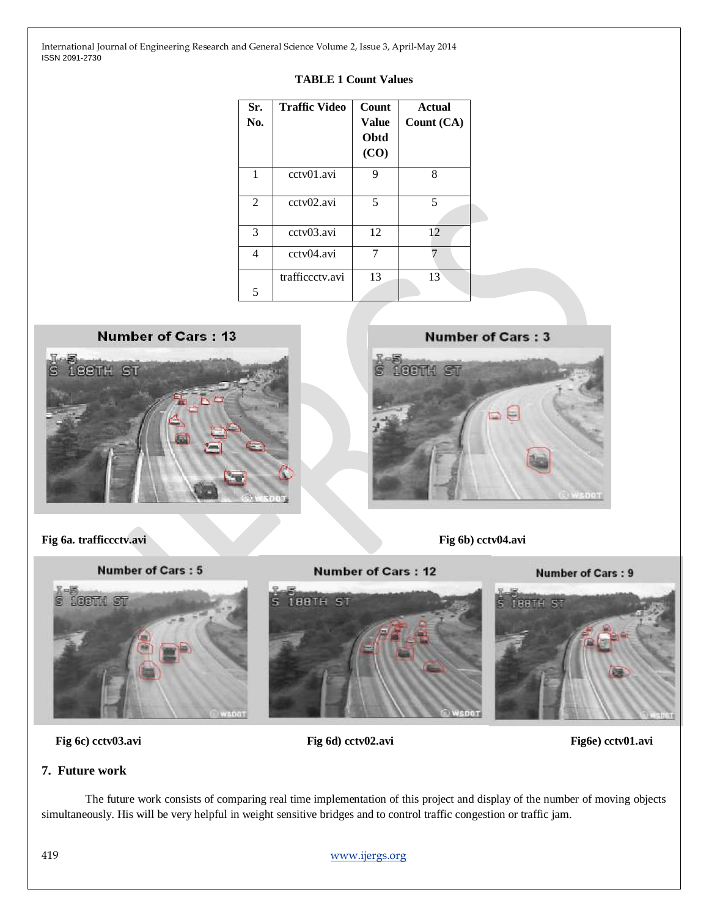| Sr.<br>No.     | <b>Traffic Video</b> | Count<br><b>Value</b><br>Obtd<br>(CO) | Actual<br>Count (CA) |
|----------------|----------------------|---------------------------------------|----------------------|
| 1              | cctv01.avi           | 9                                     | 8                    |
| $\overline{2}$ | cctv02.avi           | 5                                     | 5                    |
| 3              | cctv03.avi           | 12                                    | 12                   |
| 4              | cctv04.avi           | 7                                     |                      |
| 5              | trafficcctv.avi      | 13                                    | 13                   |

# **TABLE 1 Count Values**

**Number of Cars: 13** 







**Fig 6a. trafficcctv.avi Fig 6b**) cctv04.avi



Fig 6c) cctv03.avi Fig 6d) cctv02.avi Fig 6d) cctv02.avi Fig6e) cctv01.avi

# **7. Future work**

 The future work consists of comparing real time implementation of this project and display of the number of moving objects simultaneously. His will be very helpful in weight sensitive bridges and to control traffic congestion or traffic jam.